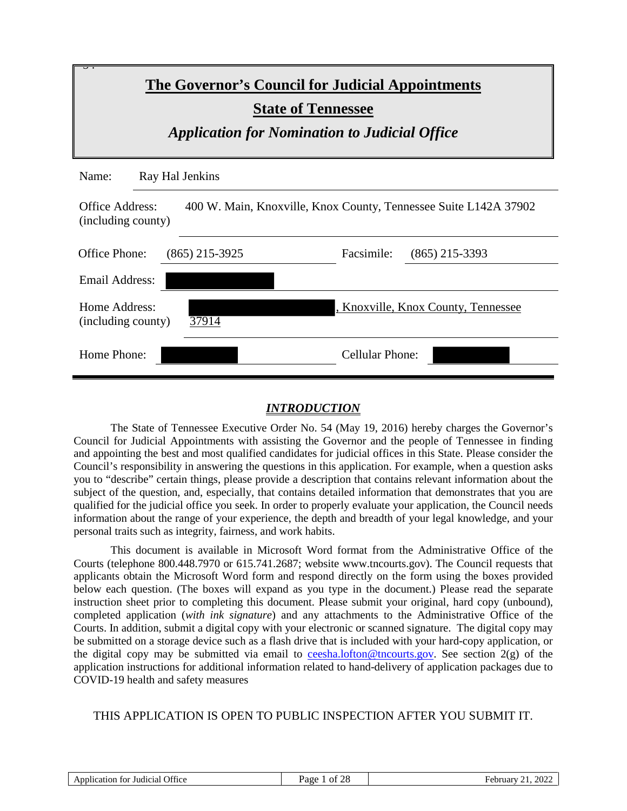# **The Governor's Council for Judicial Appointments State of Tennessee**

*Application for Nomination to Judicial Office*

| Name:                                 | Ray Hal Jenkins                                                  |                        |                                     |
|---------------------------------------|------------------------------------------------------------------|------------------------|-------------------------------------|
| Office Address:<br>(including county) | 400 W. Main, Knoxville, Knox County, Tennessee Suite L142A 37902 |                        |                                     |
| Office Phone:                         | $(865)$ 215-3925                                                 | Facsimile:             | $(865)$ 215-3393                    |
| Email Address:                        |                                                                  |                        |                                     |
| Home Address:<br>(including county)   | 37914                                                            |                        | , Knoxville, Knox County, Tennessee |
| Home Phone:                           |                                                                  | <b>Cellular Phone:</b> |                                     |

#### *INTRODUCTION*

The State of Tennessee Executive Order No. 54 (May 19, 2016) hereby charges the Governor's Council for Judicial Appointments with assisting the Governor and the people of Tennessee in finding and appointing the best and most qualified candidates for judicial offices in this State. Please consider the Council's responsibility in answering the questions in this application. For example, when a question asks you to "describe" certain things, please provide a description that contains relevant information about the subject of the question, and, especially, that contains detailed information that demonstrates that you are qualified for the judicial office you seek. In order to properly evaluate your application, the Council needs information about the range of your experience, the depth and breadth of your legal knowledge, and your personal traits such as integrity, fairness, and work habits.

This document is available in Microsoft Word format from the Administrative Office of the Courts (telephone 800.448.7970 or 615.741.2687; website www.tncourts.gov). The Council requests that applicants obtain the Microsoft Word form and respond directly on the form using the boxes provided below each question. (The boxes will expand as you type in the document.) Please read the separate instruction sheet prior to completing this document. Please submit your original, hard copy (unbound), completed application (*with ink signature*) and any attachments to the Administrative Office of the Courts. In addition, submit a digital copy with your electronic or scanned signature. The digital copy may be submitted on a storage device such as a flash drive that is included with your hard-copy application, or the digital copy may be submitted via email to [ceesha.lofton@tncourts.gov.](mailto:ceesha.lofton@tncourts.gov) See section  $2(g)$  of the application instructions for additional information related to hand-delivery of application packages due to COVID-19 health and safety measures

THIS APPLICATION IS OPEN TO PUBLIC INSPECTION AFTER YOU SUBMIT IT.

 $\frac{1}{\sqrt{1}}$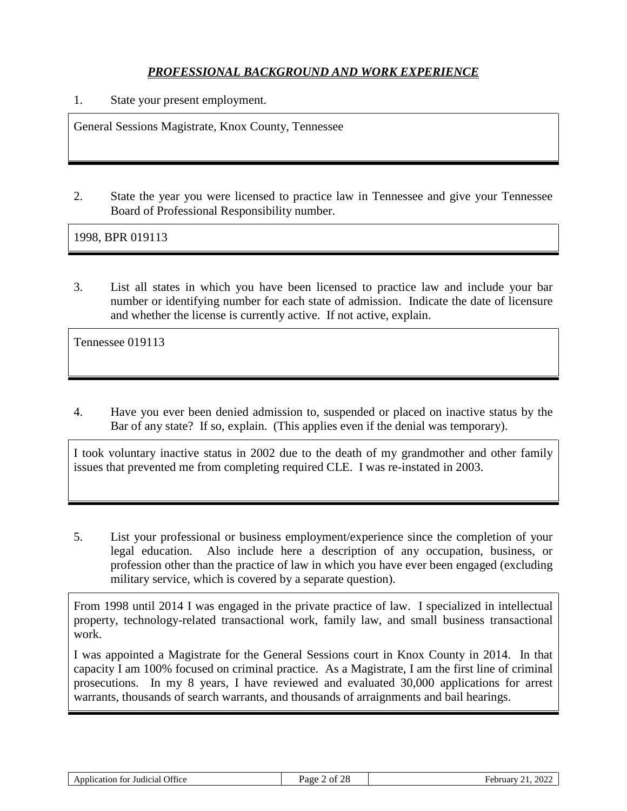## *PROFESSIONAL BACKGROUND AND WORK EXPERIENCE*

1. State your present employment.

General Sessions Magistrate, Knox County, Tennessee

2. State the year you were licensed to practice law in Tennessee and give your Tennessee Board of Professional Responsibility number.

1998, BPR 019113

3. List all states in which you have been licensed to practice law and include your bar number or identifying number for each state of admission. Indicate the date of licensure and whether the license is currently active. If not active, explain.

Tennessee 019113

4. Have you ever been denied admission to, suspended or placed on inactive status by the Bar of any state? If so, explain. (This applies even if the denial was temporary).

I took voluntary inactive status in 2002 due to the death of my grandmother and other family issues that prevented me from completing required CLE. I was re-instated in 2003.

5. List your professional or business employment/experience since the completion of your legal education. Also include here a description of any occupation, business, or profession other than the practice of law in which you have ever been engaged (excluding military service, which is covered by a separate question).

From 1998 until 2014 I was engaged in the private practice of law. I specialized in intellectual property, technology-related transactional work, family law, and small business transactional work.

I was appointed a Magistrate for the General Sessions court in Knox County in 2014. In that capacity I am 100% focused on criminal practice. As a Magistrate, I am the first line of criminal prosecutions. In my 8 years, I have reviewed and evaluated 30,000 applications for arrest warrants, thousands of search warrants, and thousands of arraignments and bail hearings.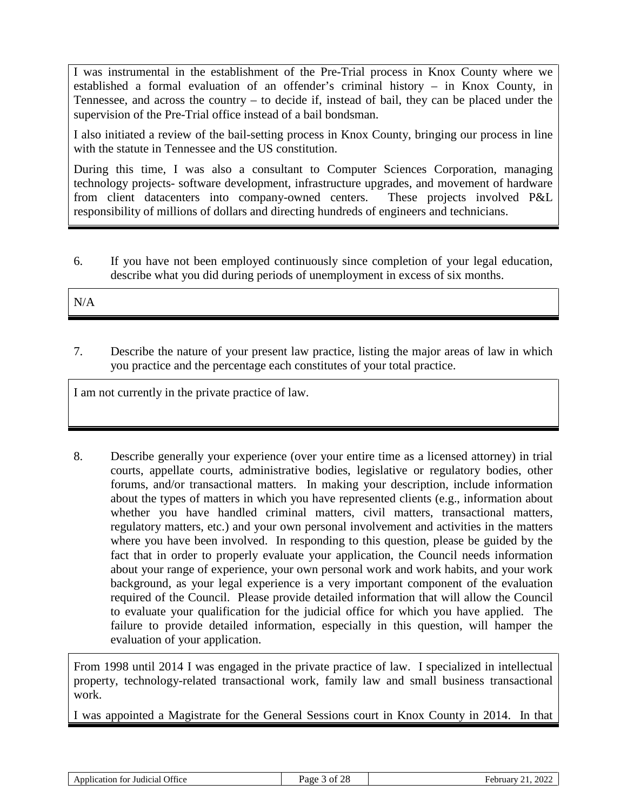I was instrumental in the establishment of the Pre-Trial process in Knox County where we established a formal evaluation of an offender's criminal history – in Knox County, in Tennessee, and across the country – to decide if, instead of bail, they can be placed under the supervision of the Pre-Trial office instead of a bail bondsman.

I also initiated a review of the bail-setting process in Knox County, bringing our process in line with the statute in Tennessee and the US constitution.

During this time, I was also a consultant to Computer Sciences Corporation, managing technology projects- software development, infrastructure upgrades, and movement of hardware from client datacenters into company-owned centers. These projects involved P&L responsibility of millions of dollars and directing hundreds of engineers and technicians.

6. If you have not been employed continuously since completion of your legal education, describe what you did during periods of unemployment in excess of six months.

N/A

7. Describe the nature of your present law practice, listing the major areas of law in which you practice and the percentage each constitutes of your total practice.

I am not currently in the private practice of law.

8. Describe generally your experience (over your entire time as a licensed attorney) in trial courts, appellate courts, administrative bodies, legislative or regulatory bodies, other forums, and/or transactional matters. In making your description, include information about the types of matters in which you have represented clients (e.g., information about whether you have handled criminal matters, civil matters, transactional matters, regulatory matters, etc.) and your own personal involvement and activities in the matters where you have been involved. In responding to this question, please be guided by the fact that in order to properly evaluate your application, the Council needs information about your range of experience, your own personal work and work habits, and your work background, as your legal experience is a very important component of the evaluation required of the Council. Please provide detailed information that will allow the Council to evaluate your qualification for the judicial office for which you have applied. The failure to provide detailed information, especially in this question, will hamper the evaluation of your application.

From 1998 until 2014 I was engaged in the private practice of law. I specialized in intellectual property, technology-related transactional work, family law and small business transactional work.

I was appointed a Magistrate for the General Sessions court in Knox County in 2014. In that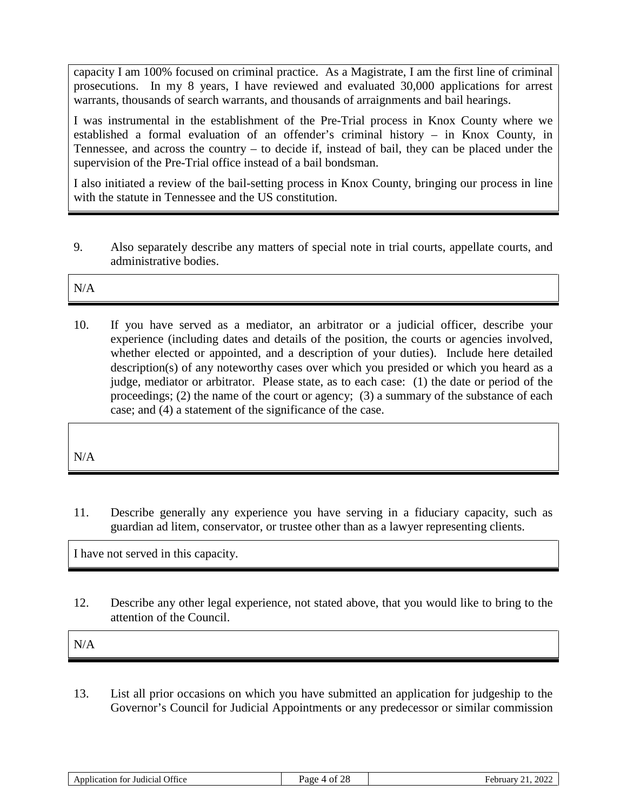capacity I am 100% focused on criminal practice. As a Magistrate, I am the first line of criminal prosecutions. In my 8 years, I have reviewed and evaluated 30,000 applications for arrest warrants, thousands of search warrants, and thousands of arraignments and bail hearings.

I was instrumental in the establishment of the Pre-Trial process in Knox County where we established a formal evaluation of an offender's criminal history – in Knox County, in Tennessee, and across the country – to decide if, instead of bail, they can be placed under the supervision of the Pre-Trial office instead of a bail bondsman.

I also initiated a review of the bail-setting process in Knox County, bringing our process in line with the statute in Tennessee and the US constitution.

9. Also separately describe any matters of special note in trial courts, appellate courts, and administrative bodies.

# N/A

10. If you have served as a mediator, an arbitrator or a judicial officer, describe your experience (including dates and details of the position, the courts or agencies involved, whether elected or appointed, and a description of your duties). Include here detailed description(s) of any noteworthy cases over which you presided or which you heard as a judge, mediator or arbitrator. Please state, as to each case: (1) the date or period of the proceedings; (2) the name of the court or agency; (3) a summary of the substance of each case; and (4) a statement of the significance of the case.

N/A

11. Describe generally any experience you have serving in a fiduciary capacity, such as guardian ad litem, conservator, or trustee other than as a lawyer representing clients.

I have not served in this capacity.

12. Describe any other legal experience, not stated above, that you would like to bring to the attention of the Council.

 $N/A$ 

13. List all prior occasions on which you have submitted an application for judgeship to the Governor's Council for Judicial Appointments or any predecessor or similar commission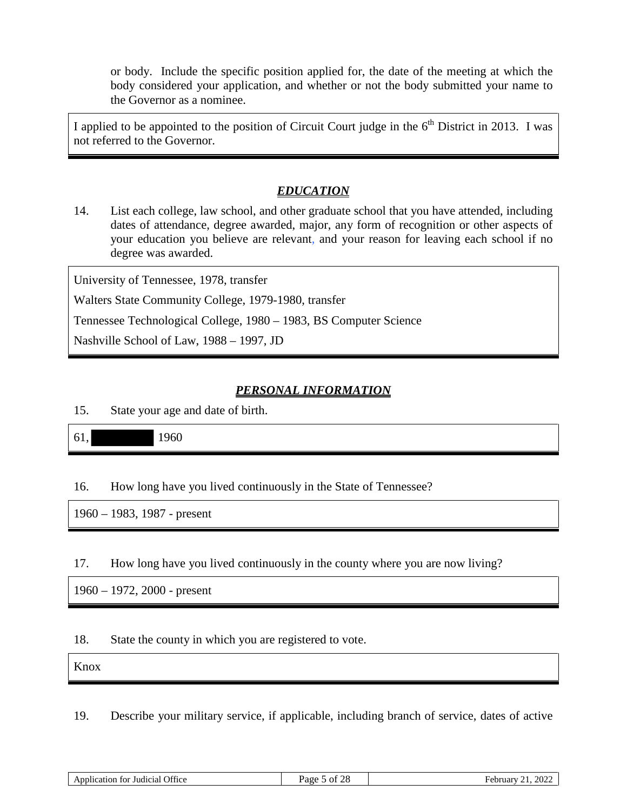or body. Include the specific position applied for, the date of the meeting at which the body considered your application, and whether or not the body submitted your name to the Governor as a nominee.

I applied to be appointed to the position of Circuit Court judge in the  $6<sup>th</sup>$  District in 2013. I was not referred to the Governor.

# *EDUCATION*

14. List each college, law school, and other graduate school that you have attended, including dates of attendance, degree awarded, major, any form of recognition or other aspects of your education you believe are relevant, and your reason for leaving each school if no degree was awarded.

University of Tennessee, 1978, transfer

Walters State Community College, 1979-1980, transfer

Tennessee Technological College, 1980 – 1983, BS Computer Science

Nashville School of Law, 1988 – 1997, JD

#### *PERSONAL INFORMATION*

15. State your age and date of birth.

| $\kappa$<br>v.<br>$\sim$ $\sim$ | ۱٢Λ<br>υv |  |  |  |  |  |  |  |
|---------------------------------|-----------|--|--|--|--|--|--|--|
|---------------------------------|-----------|--|--|--|--|--|--|--|

16. How long have you lived continuously in the State of Tennessee?

1960 – 1983, 1987 - present

17. How long have you lived continuously in the county where you are now living?

1960 – 1972, 2000 - present

18. State the county in which you are registered to vote.

Knox

19. Describe your military service, if applicable, including branch of service, dates of active

Application for Judicial Office **Page 5 of 28** February 21, 2022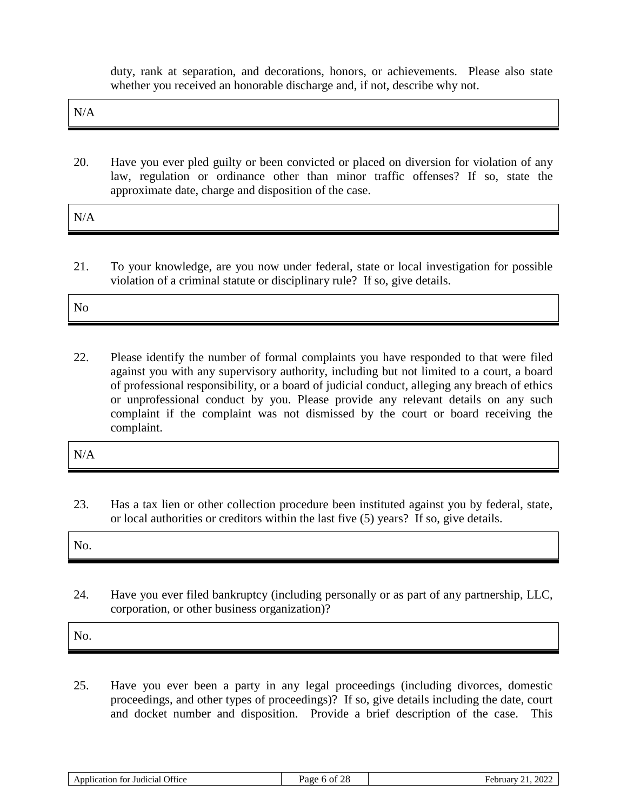duty, rank at separation, and decorations, honors, or achievements. Please also state whether you received an honorable discharge and, if not, describe why not.

N/A

20. Have you ever pled guilty or been convicted or placed on diversion for violation of any law, regulation or ordinance other than minor traffic offenses? If so, state the approximate date, charge and disposition of the case.

| A.<br>$\sim$ $\sim$ |  |
|---------------------|--|
|---------------------|--|

21. To your knowledge, are you now under federal, state or local investigation for possible violation of a criminal statute or disciplinary rule? If so, give details.

No

22. Please identify the number of formal complaints you have responded to that were filed against you with any supervisory authority, including but not limited to a court, a board of professional responsibility, or a board of judicial conduct, alleging any breach of ethics or unprofessional conduct by you. Please provide any relevant details on any such complaint if the complaint was not dismissed by the court or board receiving the complaint.

N/A

23. Has a tax lien or other collection procedure been instituted against you by federal, state, or local authorities or creditors within the last five (5) years? If so, give details.

No.

24. Have you ever filed bankruptcy (including personally or as part of any partnership, LLC, corporation, or other business organization)?

No.

25. Have you ever been a party in any legal proceedings (including divorces, domestic proceedings, and other types of proceedings)? If so, give details including the date, court and docket number and disposition. Provide a brief description of the case. This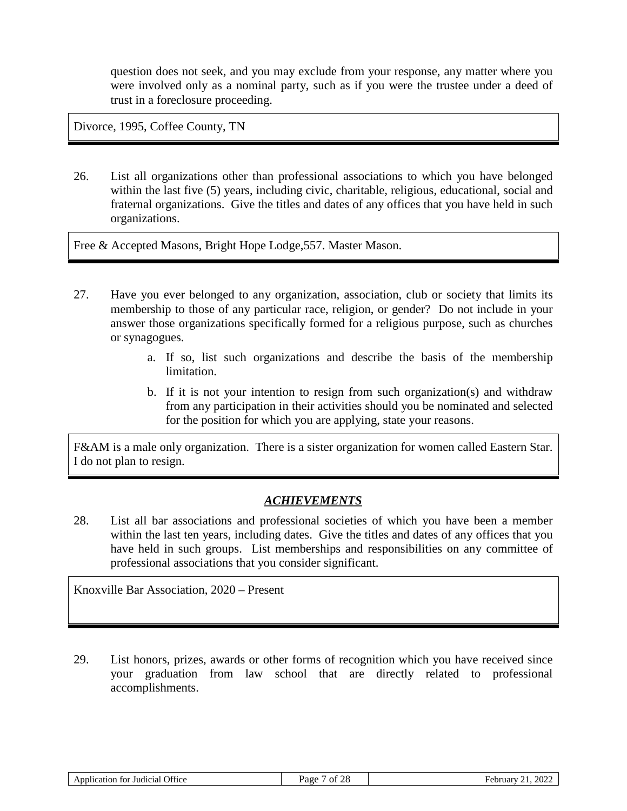question does not seek, and you may exclude from your response, any matter where you were involved only as a nominal party, such as if you were the trustee under a deed of trust in a foreclosure proceeding.

Divorce, 1995, Coffee County, TN

26. List all organizations other than professional associations to which you have belonged within the last five (5) years, including civic, charitable, religious, educational, social and fraternal organizations. Give the titles and dates of any offices that you have held in such organizations.

Free & Accepted Masons, Bright Hope Lodge,557. Master Mason.

- 27. Have you ever belonged to any organization, association, club or society that limits its membership to those of any particular race, religion, or gender? Do not include in your answer those organizations specifically formed for a religious purpose, such as churches or synagogues.
	- a. If so, list such organizations and describe the basis of the membership limitation.
	- b. If it is not your intention to resign from such organization(s) and withdraw from any participation in their activities should you be nominated and selected for the position for which you are applying, state your reasons.

F&AM is a male only organization. There is a sister organization for women called Eastern Star. I do not plan to resign.

#### *ACHIEVEMENTS*

28. List all bar associations and professional societies of which you have been a member within the last ten years, including dates. Give the titles and dates of any offices that you have held in such groups. List memberships and responsibilities on any committee of professional associations that you consider significant.

Knoxville Bar Association, 2020 – Present

29. List honors, prizes, awards or other forms of recognition which you have received since your graduation from law school that are directly related to professional accomplishments.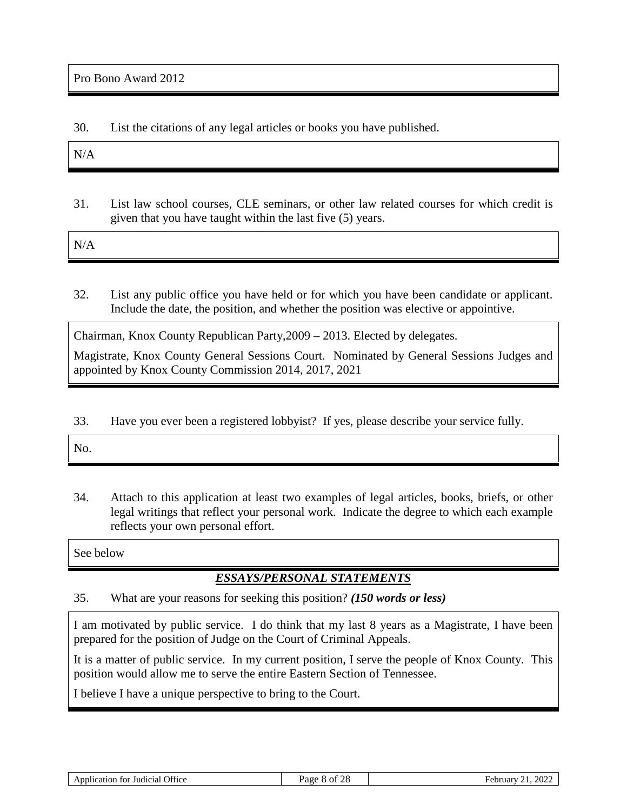Pro Bono Award 2012

30. List the citations of any legal articles or books you have published.

N/A

31. List law school courses, CLE seminars, or other law related courses for which credit is given that you have taught within the last five (5) years.

N/A

32. List any public office you have held or for which you have been candidate or applicant. Include the date, the position, and whether the position was elective or appointive.

Chairman, Knox County Republican Party,2009 – 2013. Elected by delegates.

Magistrate, Knox County General Sessions Court. Nominated by General Sessions Judges and appointed by Knox County Commission 2014, 2017, 2021

33. Have you ever been a registered lobbyist? If yes, please describe your service fully.

No.

34. Attach to this application at least two examples of legal articles, books, briefs, or other legal writings that reflect your personal work. Indicate the degree to which each example reflects your own personal effort.

See below

# *ESSAYS/PERSONAL STATEMENTS*

35. What are your reasons for seeking this position? *(150 words or less)*

I am motivated by public service. I do think that my last 8 years as a Magistrate, I have been prepared for the position of Judge on the Court of Criminal Appeals.

It is a matter of public service. In my current position, I serve the people of Knox County. This position would allow me to serve the entire Eastern Section of Tennessee.

I believe I have a unique perspective to bring to the Court.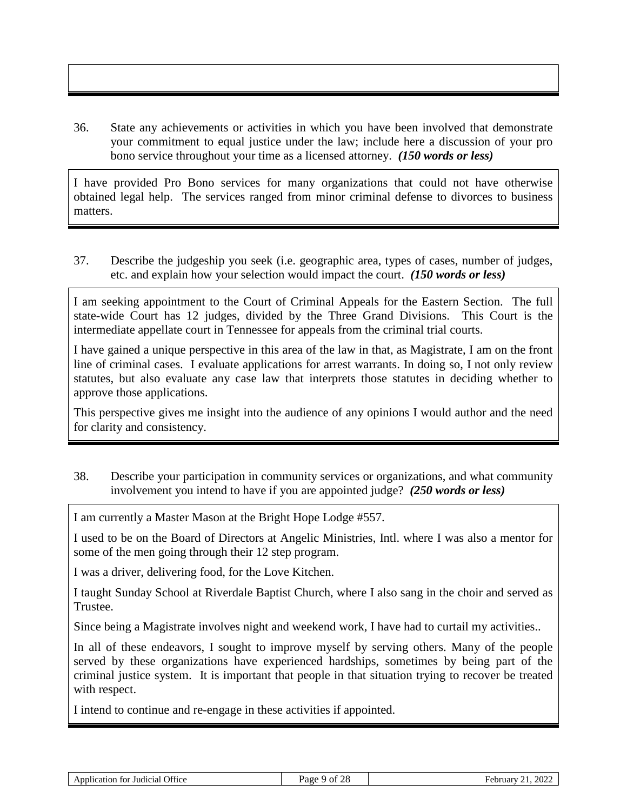36. State any achievements or activities in which you have been involved that demonstrate your commitment to equal justice under the law; include here a discussion of your pro bono service throughout your time as a licensed attorney. *(150 words or less)*

I have provided Pro Bono services for many organizations that could not have otherwise obtained legal help. The services ranged from minor criminal defense to divorces to business matters.

37. Describe the judgeship you seek (i.e. geographic area, types of cases, number of judges, etc. and explain how your selection would impact the court. *(150 words or less)*

I am seeking appointment to the Court of Criminal Appeals for the Eastern Section. The full state-wide Court has 12 judges, divided by the Three Grand Divisions. This Court is the intermediate appellate court in Tennessee for appeals from the criminal trial courts.

I have gained a unique perspective in this area of the law in that, as Magistrate, I am on the front line of criminal cases. I evaluate applications for arrest warrants. In doing so, I not only review statutes, but also evaluate any case law that interprets those statutes in deciding whether to approve those applications.

This perspective gives me insight into the audience of any opinions I would author and the need for clarity and consistency.

38. Describe your participation in community services or organizations, and what community involvement you intend to have if you are appointed judge? *(250 words or less)*

I am currently a Master Mason at the Bright Hope Lodge #557.

I used to be on the Board of Directors at Angelic Ministries, Intl. where I was also a mentor for some of the men going through their 12 step program.

I was a driver, delivering food, for the Love Kitchen.

I taught Sunday School at Riverdale Baptist Church, where I also sang in the choir and served as Trustee.

Since being a Magistrate involves night and weekend work, I have had to curtail my activities..

In all of these endeavors, I sought to improve myself by serving others. Many of the people served by these organizations have experienced hardships, sometimes by being part of the criminal justice system. It is important that people in that situation trying to recover be treated with respect.

I intend to continue and re-engage in these activities if appointed.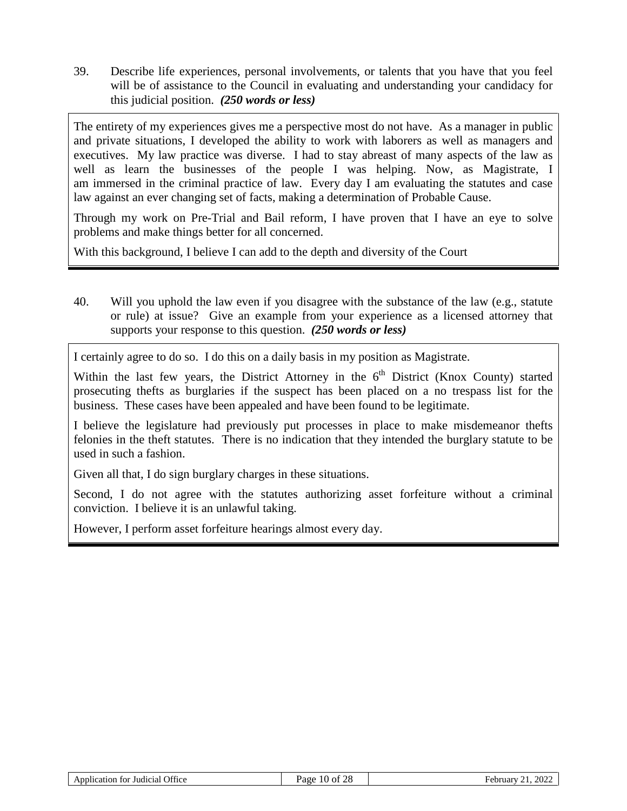39. Describe life experiences, personal involvements, or talents that you have that you feel will be of assistance to the Council in evaluating and understanding your candidacy for this judicial position. *(250 words or less)*

The entirety of my experiences gives me a perspective most do not have. As a manager in public and private situations, I developed the ability to work with laborers as well as managers and executives. My law practice was diverse. I had to stay abreast of many aspects of the law as well as learn the businesses of the people I was helping. Now, as Magistrate, I am immersed in the criminal practice of law. Every day I am evaluating the statutes and case law against an ever changing set of facts, making a determination of Probable Cause.

Through my work on Pre-Trial and Bail reform, I have proven that I have an eye to solve problems and make things better for all concerned.

With this background, I believe I can add to the depth and diversity of the Court

40. Will you uphold the law even if you disagree with the substance of the law (e.g., statute or rule) at issue? Give an example from your experience as a licensed attorney that supports your response to this question. *(250 words or less)*

I certainly agree to do so. I do this on a daily basis in my position as Magistrate.

Within the last few years, the District Attorney in the  $6<sup>th</sup>$  District (Knox County) started prosecuting thefts as burglaries if the suspect has been placed on a no trespass list for the business. These cases have been appealed and have been found to be legitimate.

I believe the legislature had previously put processes in place to make misdemeanor thefts felonies in the theft statutes. There is no indication that they intended the burglary statute to be used in such a fashion.

Given all that, I do sign burglary charges in these situations.

Second, I do not agree with the statutes authorizing asset forfeiture without a criminal conviction. I believe it is an unlawful taking.

However, I perform asset forfeiture hearings almost every day.

| $\bigcap$<br>$\sim$<br>711<br>4 O F<br>n<br>0.11<br>.<br>Office<br>ла<br>7U∠.<br>$\pm 0^{\circ}$<br>ĸ<br>лин -<br>. .<br>- 700.<br>-ааг<br>–<br>. |  |
|---------------------------------------------------------------------------------------------------------------------------------------------------|--|
|---------------------------------------------------------------------------------------------------------------------------------------------------|--|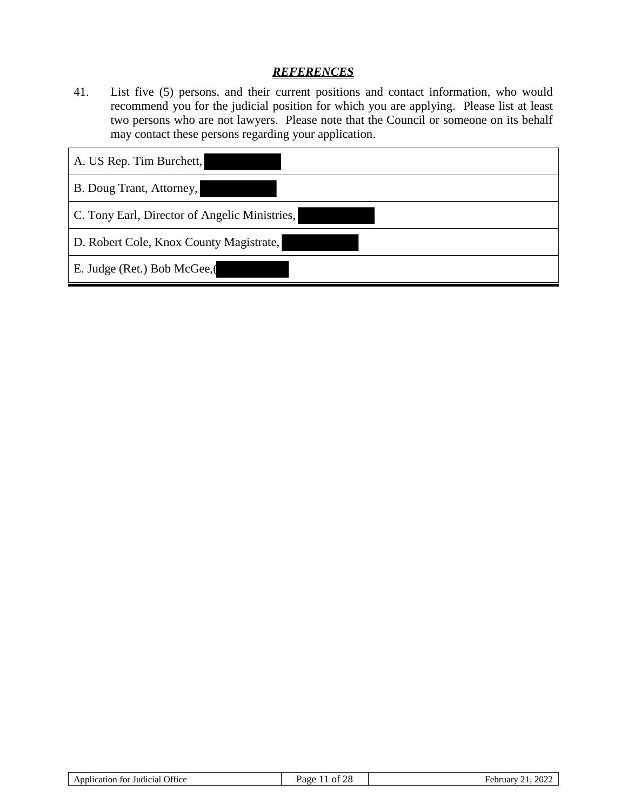#### *REFERENCES*

41. List five (5) persons, and their current positions and contact information, who would recommend you for the judicial position for which you are applying. Please list at least two persons who are not lawyers. Please note that the Council or someone on its behalf may contact these persons regarding your application.



| $\sim$<br>Office<br>Judicial<br>plication<br>tor | $\bigcap$<br>$\Omega^*$<br>120x<br>яσє<br>. . | 2022<br><b>rebruar</b><br>__ |
|--------------------------------------------------|-----------------------------------------------|------------------------------|
|                                                  |                                               |                              |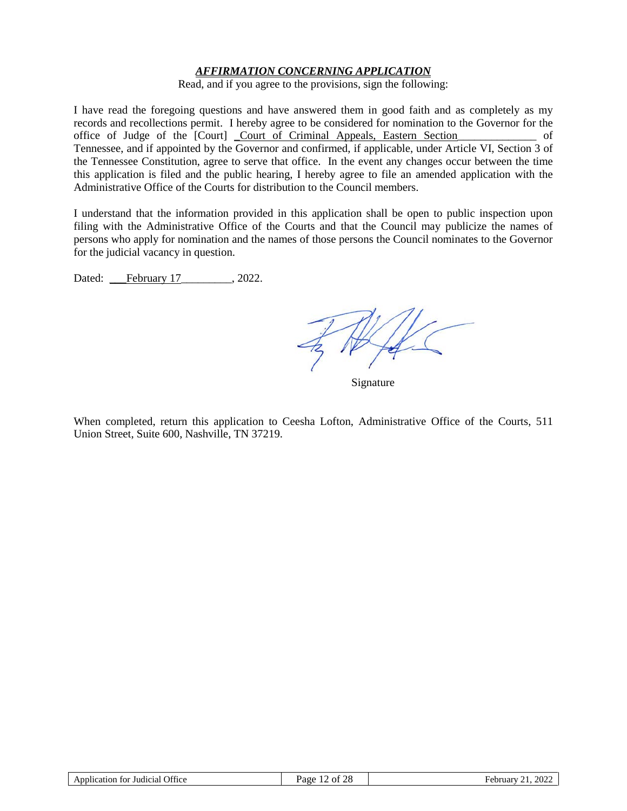#### *AFFIRMATION CONCERNING APPLICATION*

Read, and if you agree to the provisions, sign the following:

I have read the foregoing questions and have answered them in good faith and as completely as my records and recollections permit. I hereby agree to be considered for nomination to the Governor for the office of Judge of the [Court] Court of Criminal Appeals, Eastern Section\_\_\_\_\_\_\_\_\_\_\_\_ of Tennessee, and if appointed by the Governor and confirmed, if applicable, under Article VI, Section 3 of the Tennessee Constitution, agree to serve that office. In the event any changes occur between the time this application is filed and the public hearing, I hereby agree to file an amended application with the Administrative Office of the Courts for distribution to the Council members.

I understand that the information provided in this application shall be open to public inspection upon filing with the Administrative Office of the Courts and that the Council may publicize the names of persons who apply for nomination and the names of those persons the Council nominates to the Governor for the judicial vacancy in question.

Dated: February 17 , 2022.

Signature

When completed, return this application to Ceesha Lofton, Administrative Office of the Courts, 511 Union Street, Suite 600, Nashville, TN 37219.

| Office<br>tor<br>plication<br>Judicial<br>ADI<br>______ | ിറ<br>O1<br>age<br>∠€<br>___<br>$\sim$ | 2022<br>ebruar<br>. |
|---------------------------------------------------------|----------------------------------------|---------------------|
|---------------------------------------------------------|----------------------------------------|---------------------|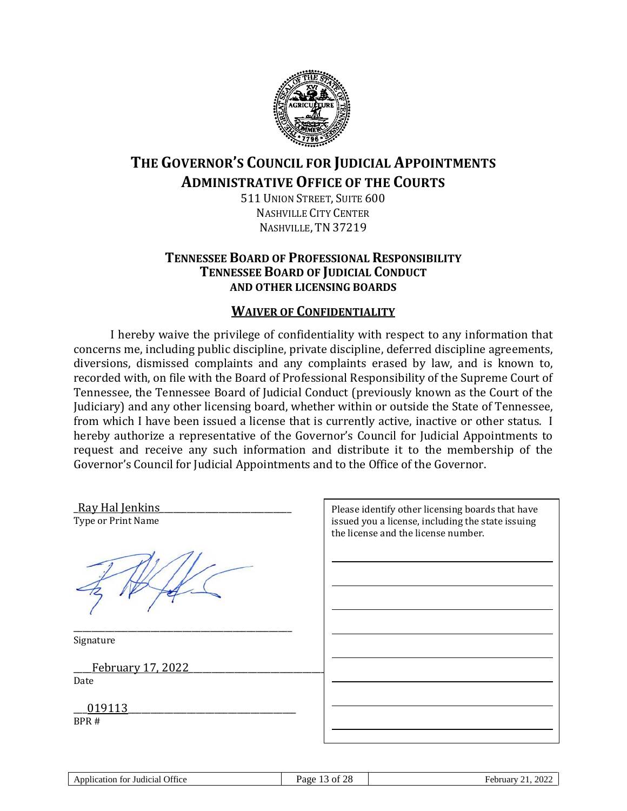

# **THE GOVERNOR'S COUNCIL FOR JUDICIAL APPOINTMENTS ADMINISTRATIVE OFFICE OF THE COURTS**

511 UNION STREET, SUITE 600 NASHVILLE CITY CENTER NASHVILLE, TN 37219

#### **TENNESSEE BOARD OF PROFESSIONAL RESPONSIBILITY TENNESSEE BOARD OF JUDICIAL CONDUCT AND OTHER LICENSING BOARDS**

## **WAIVER OF CONFIDENTIALITY**

I hereby waive the privilege of confidentiality with respect to any information that concerns me, including public discipline, private discipline, deferred discipline agreements, diversions, dismissed complaints and any complaints erased by law, and is known to, recorded with, on file with the Board of Professional Responsibility of the Supreme Court of Tennessee, the Tennessee Board of Judicial Conduct (previously known as the Court of the Judiciary) and any other licensing board, whether within or outside the State of Tennessee, from which I have been issued a license that is currently active, inactive or other status. I hereby authorize a representative of the Governor's Council for Judicial Appointments to request and receive any such information and distribute it to the membership of the Governor's Council for Judicial Appointments and to the Office of the Governor.

| Ray Hal Jenkins<br>Type or Print Name | Please identify other licensing boards that have<br>issued you a license, including the state issuing<br>the license and the license number. |
|---------------------------------------|----------------------------------------------------------------------------------------------------------------------------------------------|
|                                       |                                                                                                                                              |
| Signature                             |                                                                                                                                              |
| February 17, 2022                     |                                                                                                                                              |
| Date                                  |                                                                                                                                              |
| 019113                                |                                                                                                                                              |
| BPR#                                  |                                                                                                                                              |
|                                       |                                                                                                                                              |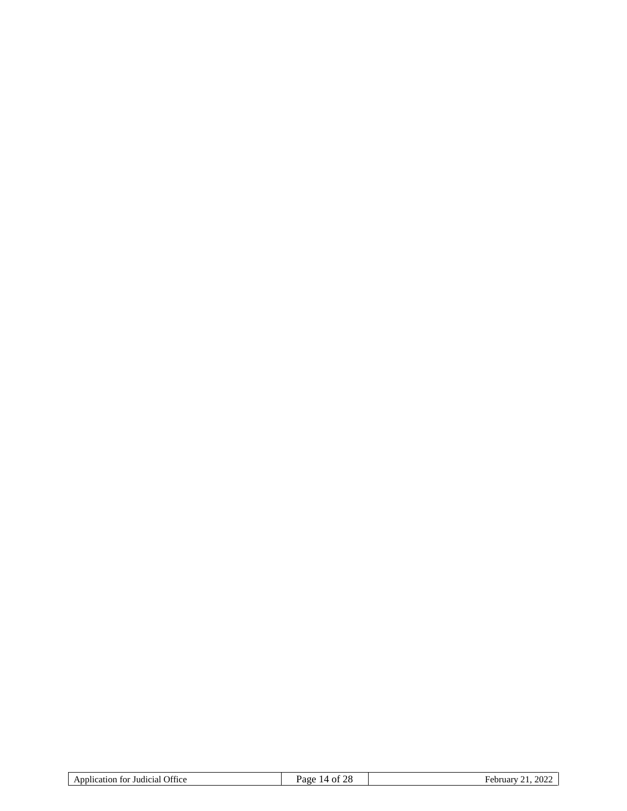| Jttice .<br>tor<br>ıcatıon<br>0.0101<br>Judicial<br>– | $\cdots$<br><b>.</b><br>ωı<br>$\sim$ $\sim$ $\sim$ $\sim$ $\sim$ | 202<br>cbruar <sup>-</sup><br>. |
|-------------------------------------------------------|------------------------------------------------------------------|---------------------------------|
|                                                       |                                                                  |                                 |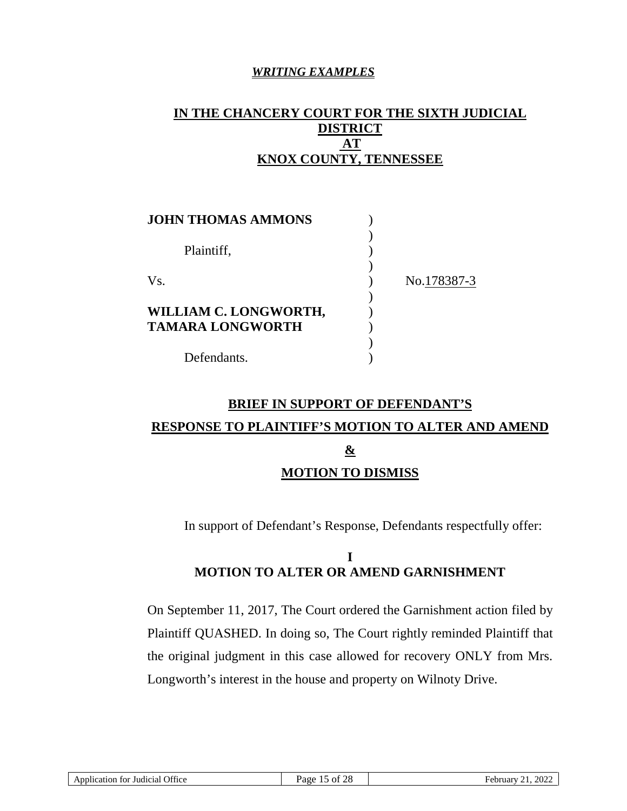#### *WRITING EXAMPLES*

## **IN THE CHANCERY COURT FOR THE SIXTH JUDICIAL DISTRICT AT KNOX COUNTY, TENNESSEE**

| No.178387-3 |
|-------------|

# **BRIEF IN SUPPORT OF DEFENDANT'S RESPONSE TO PLAINTIFF'S MOTION TO ALTER AND AMEND & MOTION TO DISMISS**

In support of Defendant's Response, Defendants respectfully offer:

# **I MOTION TO ALTER OR AMEND GARNISHMENT**

On September 11, 2017, The Court ordered the Garnishment action filed by Plaintiff QUASHED. In doing so, The Court rightly reminded Plaintiff that the original judgment in this case allowed for recovery ONLY from Mrs. Longworth's interest in the house and property on Wilnoty Drive.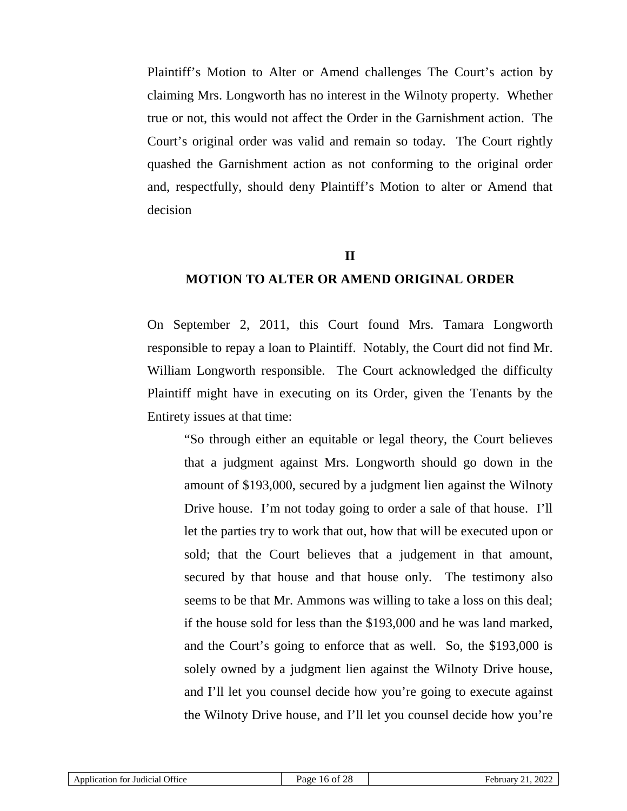Plaintiff's Motion to Alter or Amend challenges The Court's action by claiming Mrs. Longworth has no interest in the Wilnoty property. Whether true or not, this would not affect the Order in the Garnishment action. The Court's original order was valid and remain so today. The Court rightly quashed the Garnishment action as not conforming to the original order and, respectfully, should deny Plaintiff's Motion to alter or Amend that decision

#### **II**

#### **MOTION TO ALTER OR AMEND ORIGINAL ORDER**

On September 2, 2011, this Court found Mrs. Tamara Longworth responsible to repay a loan to Plaintiff. Notably, the Court did not find Mr. William Longworth responsible. The Court acknowledged the difficulty Plaintiff might have in executing on its Order, given the Tenants by the Entirety issues at that time:

"So through either an equitable or legal theory, the Court believes that a judgment against Mrs. Longworth should go down in the amount of \$193,000, secured by a judgment lien against the Wilnoty Drive house. I'm not today going to order a sale of that house. I'll let the parties try to work that out, how that will be executed upon or sold; that the Court believes that a judgement in that amount, secured by that house and that house only. The testimony also seems to be that Mr. Ammons was willing to take a loss on this deal; if the house sold for less than the \$193,000 and he was land marked, and the Court's going to enforce that as well. So, the \$193,000 is solely owned by a judgment lien against the Wilnoty Drive house, and I'll let you counsel decide how you're going to execute against the Wilnoty Drive house, and I'll let you counsel decide how you're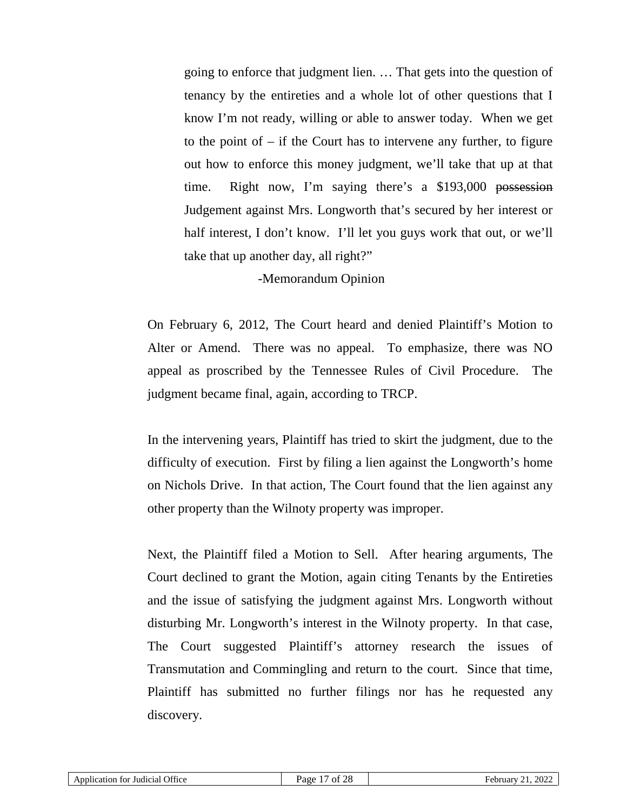going to enforce that judgment lien. … That gets into the question of tenancy by the entireties and a whole lot of other questions that I know I'm not ready, willing or able to answer today. When we get to the point of  $-$  if the Court has to intervene any further, to figure out how to enforce this money judgment, we'll take that up at that time. Right now, I'm saying there's a \$193,000 possession Judgement against Mrs. Longworth that's secured by her interest or half interest, I don't know. I'll let you guys work that out, or we'll take that up another day, all right?"

#### -Memorandum Opinion

On February 6, 2012, The Court heard and denied Plaintiff's Motion to Alter or Amend. There was no appeal. To emphasize, there was NO appeal as proscribed by the Tennessee Rules of Civil Procedure. The judgment became final, again, according to TRCP.

In the intervening years, Plaintiff has tried to skirt the judgment, due to the difficulty of execution. First by filing a lien against the Longworth's home on Nichols Drive. In that action, The Court found that the lien against any other property than the Wilnoty property was improper.

Next, the Plaintiff filed a Motion to Sell. After hearing arguments, The Court declined to grant the Motion, again citing Tenants by the Entireties and the issue of satisfying the judgment against Mrs. Longworth without disturbing Mr. Longworth's interest in the Wilnoty property. In that case, The Court suggested Plaintiff's attorney research the issues of Transmutation and Commingling and return to the court. Since that time, Plaintiff has submitted no further filings nor has he requested any discovery.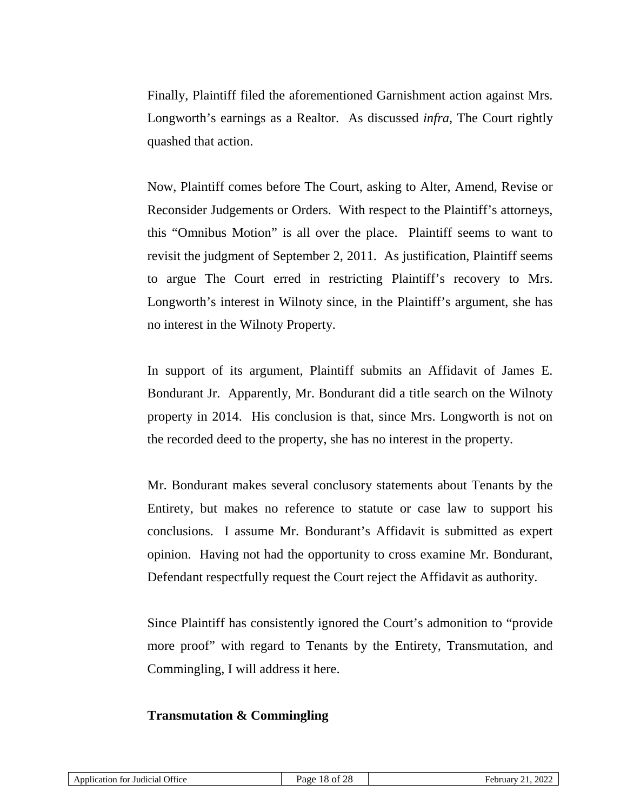Finally, Plaintiff filed the aforementioned Garnishment action against Mrs. Longworth's earnings as a Realtor. As discussed *infra*, The Court rightly quashed that action.

Now, Plaintiff comes before The Court, asking to Alter, Amend, Revise or Reconsider Judgements or Orders. With respect to the Plaintiff's attorneys, this "Omnibus Motion" is all over the place. Plaintiff seems to want to revisit the judgment of September 2, 2011. As justification, Plaintiff seems to argue The Court erred in restricting Plaintiff's recovery to Mrs. Longworth's interest in Wilnoty since, in the Plaintiff's argument, she has no interest in the Wilnoty Property.

In support of its argument, Plaintiff submits an Affidavit of James E. Bondurant Jr. Apparently, Mr. Bondurant did a title search on the Wilnoty property in 2014. His conclusion is that, since Mrs. Longworth is not on the recorded deed to the property, she has no interest in the property.

Mr. Bondurant makes several conclusory statements about Tenants by the Entirety, but makes no reference to statute or case law to support his conclusions. I assume Mr. Bondurant's Affidavit is submitted as expert opinion. Having not had the opportunity to cross examine Mr. Bondurant, Defendant respectfully request the Court reject the Affidavit as authority.

Since Plaintiff has consistently ignored the Court's admonition to "provide more proof" with regard to Tenants by the Entirety, Transmutation, and Commingling, I will address it here.

#### **Transmutation & Commingling**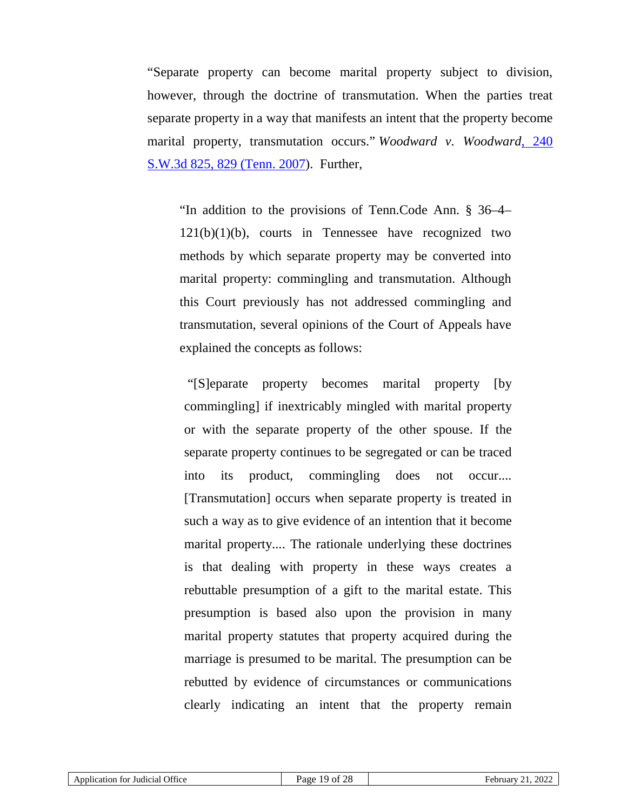"Separate property can become marital property subject to division, however, through the doctrine of transmutation. When the parties treat separate property in a way that manifests an intent that the property become marital property, transmutation occurs." *[Woodward v. Woodward](https://1.next.westlaw.com/Link/Document/FullText?findType=Y&serNum=2012237317&pubNum=0004644&originatingDoc=I23c833e05e4b11e6a73ccd89c92ec965&refType=RP&fi=co_pp_sp_4644_829&originationContext=document&transitionType=DocumentItem&contextData=(sc.Search)#co_pp_sp_4644_829)*, 240 [S.W.3d 825, 829 \(Tenn. 2007\)](https://1.next.westlaw.com/Link/Document/FullText?findType=Y&serNum=2012237317&pubNum=0004644&originatingDoc=I23c833e05e4b11e6a73ccd89c92ec965&refType=RP&fi=co_pp_sp_4644_829&originationContext=document&transitionType=DocumentItem&contextData=(sc.Search)#co_pp_sp_4644_829). Further,

"In addition to the provisions of [Tenn.Code Ann. § 36–4–](http://www.westlaw.com/Link/Document/FullText?findType=L&pubNum=1000039&cite=TNSTS36-4-121&originatingDoc=I4eb181abe7d011d9b386b232635db992&refType=SP&originationContext=document&vr=3.0&rs=cblt1.0&transitionType=DocumentItem&contextData=(sc.Search)#co_pp_3fed000053a85)  $121(b)(1)(b)$ , courts in Tennessee have recognized two methods by which separate property may be converted into marital property: commingling and transmutation. Although this Court previously has not addressed commingling and transmutation, several opinions of the Court of Appeals have explained the concepts as follows:

"[S]eparate property becomes marital property [by commingling] if inextricably mingled with marital property or with the separate property of the other spouse. If the separate property continues to be segregated or can be traced into its product, commingling does not occur.... [Transmutation] occurs when separate property is treated in such a way as to give evidence of an intention that it become marital property.... The rationale underlying these doctrines is that dealing with property in these ways creates a rebuttable presumption of a gift to the marital estate. This presumption is based also upon the provision in many marital property statutes that property acquired during the marriage is presumed to be marital. The presumption can be rebutted by evidence of circumstances or communications clearly indicating an intent that the property remain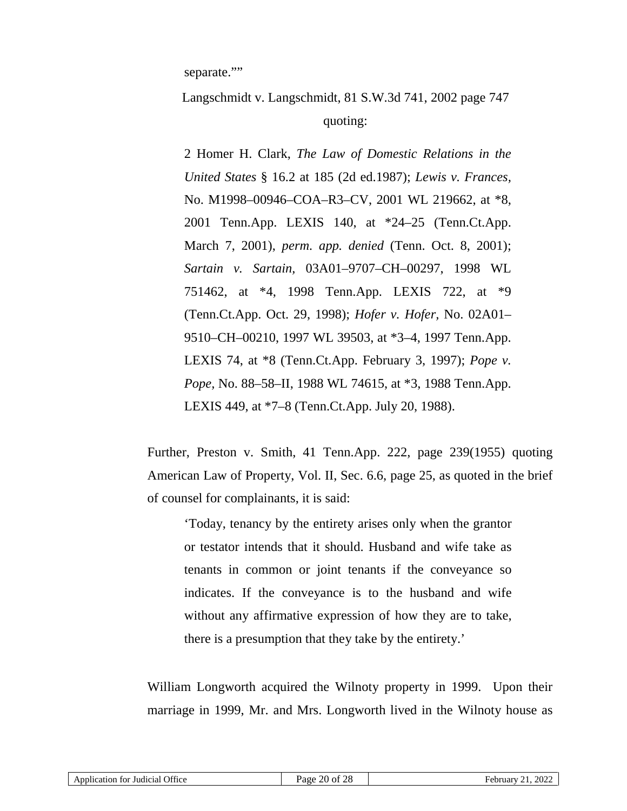separate.""

Langschmidt v. Langschmidt, 81 S.W.3d 741, 2002 page 747 quoting:

2 Homer H. Clark, *The Law of Domestic Relations in the United States* § 16.2 at 185 (2d ed.1987); *[Lewis v. Frances,](http://www.westlaw.com/Link/Document/FullText?findType=Y&serNum=2001193413&pubNum=0000999&originatingDoc=I4eb181abe7d011d9b386b232635db992&refType=RP&originationContext=document&vr=3.0&rs=cblt1.0&transitionType=DocumentItem&contextData=(sc.Search))* [No. M1998–00946–COA–R3–CV, 2001 WL 219662, at \\*8,](http://www.westlaw.com/Link/Document/FullText?findType=Y&serNum=2001193413&pubNum=0000999&originatingDoc=I4eb181abe7d011d9b386b232635db992&refType=RP&originationContext=document&vr=3.0&rs=cblt1.0&transitionType=DocumentItem&contextData=(sc.Search))  [2001 Tenn.App. LEXIS 140, at \\*24–25 \(Tenn.Ct.App.](http://www.westlaw.com/Link/Document/FullText?findType=Y&serNum=2001193413&pubNum=0000999&originatingDoc=I4eb181abe7d011d9b386b232635db992&refType=RP&originationContext=document&vr=3.0&rs=cblt1.0&transitionType=DocumentItem&contextData=(sc.Search))  [March 7, 2001\),](http://www.westlaw.com/Link/Document/FullText?findType=Y&serNum=2001193413&pubNum=0000999&originatingDoc=I4eb181abe7d011d9b386b232635db992&refType=RP&originationContext=document&vr=3.0&rs=cblt1.0&transitionType=DocumentItem&contextData=(sc.Search)) *perm. app. denied* (Tenn. Oct. 8, 2001); *Sartain v. Sartain,* [03A01–9707–CH–00297, 1998 WL](http://www.westlaw.com/Link/Document/FullText?findType=Y&serNum=1998221725&pubNum=0000999&originatingDoc=I4eb181abe7d011d9b386b232635db992&refType=RP&originationContext=document&vr=3.0&rs=cblt1.0&transitionType=DocumentItem&contextData=(sc.Search))  [751462, at \\*4, 1998 Tenn.App. LEXIS 722, at \\*9](http://www.westlaw.com/Link/Document/FullText?findType=Y&serNum=1998221725&pubNum=0000999&originatingDoc=I4eb181abe7d011d9b386b232635db992&refType=RP&originationContext=document&vr=3.0&rs=cblt1.0&transitionType=DocumentItem&contextData=(sc.Search))  [\(Tenn.Ct.App. Oct. 29, 1998\);](http://www.westlaw.com/Link/Document/FullText?findType=Y&serNum=1998221725&pubNum=0000999&originatingDoc=I4eb181abe7d011d9b386b232635db992&refType=RP&originationContext=document&vr=3.0&rs=cblt1.0&transitionType=DocumentItem&contextData=(sc.Search)) *[Hofer v. Hofer,](http://www.westlaw.com/Link/Document/FullText?findType=Y&serNum=1997044680&pubNum=0000999&originatingDoc=I4eb181abe7d011d9b386b232635db992&refType=RP&originationContext=document&vr=3.0&rs=cblt1.0&transitionType=DocumentItem&contextData=(sc.Search))* No. 02A01– [9510–CH–00210, 1997 WL 39503, at \\*3–4, 1997 Tenn.App.](http://www.westlaw.com/Link/Document/FullText?findType=Y&serNum=1997044680&pubNum=0000999&originatingDoc=I4eb181abe7d011d9b386b232635db992&refType=RP&originationContext=document&vr=3.0&rs=cblt1.0&transitionType=DocumentItem&contextData=(sc.Search))  [LEXIS 74, at \\*8 \(Tenn.Ct.App. February 3, 1997\);](http://www.westlaw.com/Link/Document/FullText?findType=Y&serNum=1997044680&pubNum=0000999&originatingDoc=I4eb181abe7d011d9b386b232635db992&refType=RP&originationContext=document&vr=3.0&rs=cblt1.0&transitionType=DocumentItem&contextData=(sc.Search)) *[Pope v.](http://www.westlaw.com/Link/Document/FullText?findType=Y&serNum=1988094773&pubNum=0000999&originatingDoc=I4eb181abe7d011d9b386b232635db992&refType=RP&originationContext=document&vr=3.0&rs=cblt1.0&transitionType=DocumentItem&contextData=(sc.Search))  Pope,* [No. 88–58–II, 1988 WL 74615, at \\*3, 1988 Tenn.App.](http://www.westlaw.com/Link/Document/FullText?findType=Y&serNum=1988094773&pubNum=0000999&originatingDoc=I4eb181abe7d011d9b386b232635db992&refType=RP&originationContext=document&vr=3.0&rs=cblt1.0&transitionType=DocumentItem&contextData=(sc.Search))  [LEXIS 449, at \\*7–8 \(Tenn.Ct.App. July 20, 1988\).](http://www.westlaw.com/Link/Document/FullText?findType=Y&serNum=1988094773&pubNum=0000999&originatingDoc=I4eb181abe7d011d9b386b232635db992&refType=RP&originationContext=document&vr=3.0&rs=cblt1.0&transitionType=DocumentItem&contextData=(sc.Search))

Further, Preston v. Smith, 41 Tenn.App. 222, page 239(1955) quoting American Law of Property, Vol. II, Sec. 6.6, page 25, as quoted in the brief of counsel for complainants, it is said:

'Today, tenancy by the entirety arises only when the grantor or testator intends that it should. Husband and wife take as tenants in common or joint tenants if the conveyance so indicates. If the conveyance is to the husband and wife without any affirmative expression of how they are to take, there is a presumption that they take by the entirety.'

William Longworth acquired the Wilnoty property in 1999. Upon their marriage in 1999, Mr. and Mrs. Longworth lived in the Wilnoty house as

| <b>CONTRACTOR</b><br>ንበነ<br>-<br>Jttice<br>$-0.0132222$<br>`сіат<br>Judi<br>AD<br>TO1<br>•л ста<br>ıa<br>___<br>.<br>$\sim$ $\sim$ $\sim$ $\sim$ |
|--------------------------------------------------------------------------------------------------------------------------------------------------|
|--------------------------------------------------------------------------------------------------------------------------------------------------|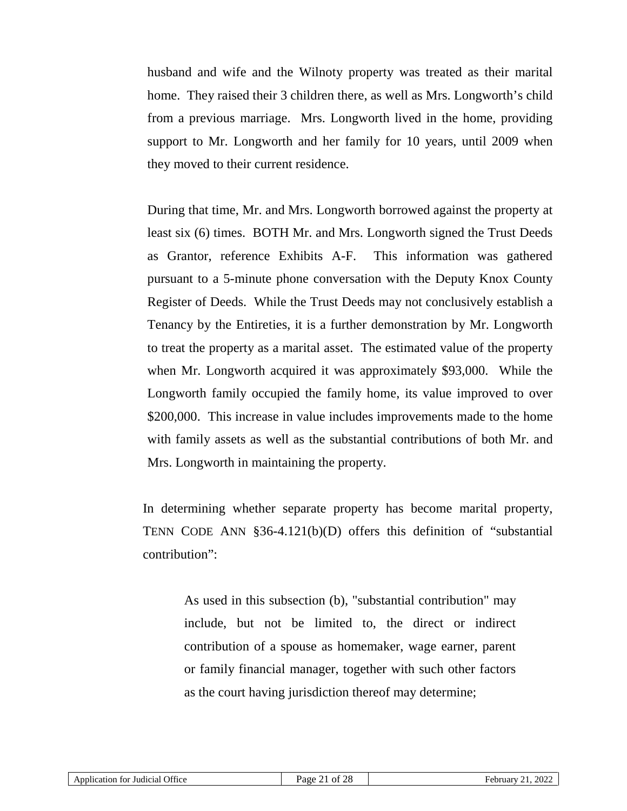husband and wife and the Wilnoty property was treated as their marital home. They raised their 3 children there, as well as Mrs. Longworth's child from a previous marriage. Mrs. Longworth lived in the home, providing support to Mr. Longworth and her family for 10 years, until 2009 when they moved to their current residence.

During that time, Mr. and Mrs. Longworth borrowed against the property at least six (6) times. BOTH Mr. and Mrs. Longworth signed the Trust Deeds as Grantor, reference Exhibits A-F. This information was gathered pursuant to a 5-minute phone conversation with the Deputy Knox County Register of Deeds. While the Trust Deeds may not conclusively establish a Tenancy by the Entireties, it is a further demonstration by Mr. Longworth to treat the property as a marital asset. The estimated value of the property when Mr. Longworth acquired it was approximately \$93,000. While the Longworth family occupied the family home, its value improved to over \$200,000. This increase in value includes improvements made to the home with family assets as well as the substantial contributions of both Mr. and Mrs. Longworth in maintaining the property.

In determining whether separate property has become marital property, TENN CODE ANN §36-4.121(b)(D) offers this definition of "substantial contribution":

As used in this subsection (b), "substantial contribution" may include, but not be limited to, the direct or indirect contribution of a spouse as homemaker, wage earner, parent or family financial manager, together with such other factors as the court having jurisdiction thereof may determine;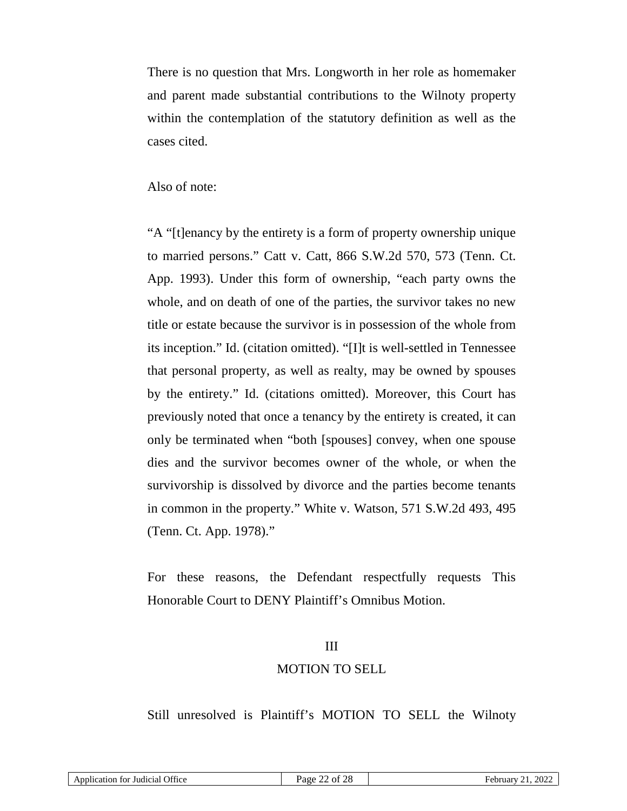There is no question that Mrs. Longworth in her role as homemaker and parent made substantial contributions to the Wilnoty property within the contemplation of the statutory definition as well as the cases cited.

#### Also of note:

"A "[t]enancy by the entirety is a form of property ownership unique to married persons." Catt v. Catt, 866 S.W.2d 570, 573 (Tenn. Ct. App. 1993). Under this form of ownership, "each party owns the whole, and on death of one of the parties, the survivor takes no new title or estate because the survivor is in possession of the whole from its inception." Id. (citation omitted). "[I]t is well-settled in Tennessee that personal property, as well as realty, may be owned by spouses by the entirety." Id. (citations omitted). Moreover, this Court has previously noted that once a tenancy by the entirety is created, it can only be terminated when "both [spouses] convey, when one spouse dies and the survivor becomes owner of the whole, or when the survivorship is dissolved by divorce and the parties become tenants in common in the property." White v. Watson, 571 S.W.2d 493, 495 (Tenn. Ct. App. 1978)."

For these reasons, the Defendant respectfully requests This Honorable Court to DENY Plaintiff's Omnibus Motion.

#### III

#### MOTION TO SELL

Still unresolved is Plaintiff's MOTION TO SELL the Wilnoty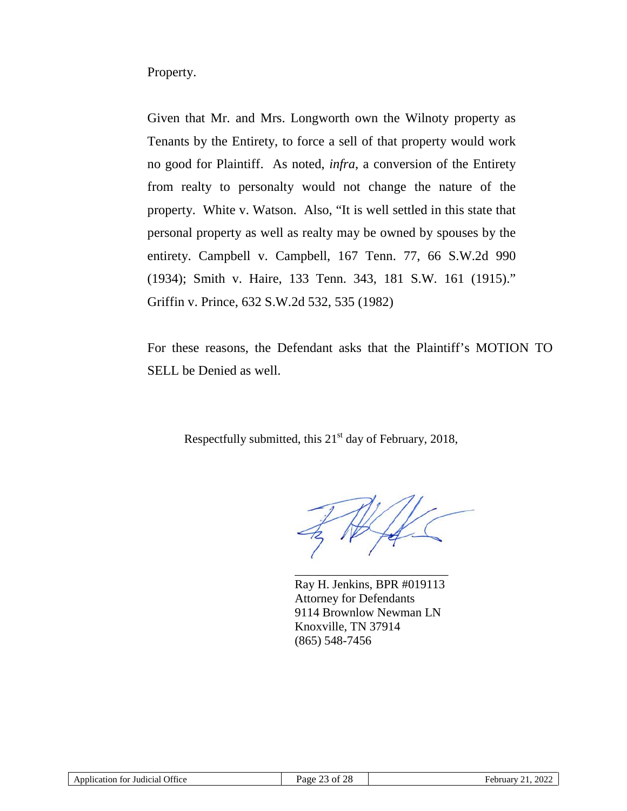Property.

Given that Mr. and Mrs. Longworth own the Wilnoty property as Tenants by the Entirety, to force a sell of that property would work no good for Plaintiff. As noted, *infra*, a conversion of the Entirety from realty to personalty would not change the nature of the property. White v. Watson. Also, "It is well settled in this state that personal property as well as realty may be owned by spouses by the entirety. [Campbell v. Campbell, 167 Tenn. 77, 66 S.W.2d 990](http://www.westlaw.com/Link/Document/FullText?findType=Y&serNum=1934103303&pubNum=713&originatingDoc=I1e6e3439e7a111d98ac8f235252e36df&refType=RP&originationContext=document&vr=3.0&rs=cblt1.0&transitionType=DocumentItem&contextData=(sc.Search))  [\(1934\);](http://www.westlaw.com/Link/Document/FullText?findType=Y&serNum=1934103303&pubNum=713&originatingDoc=I1e6e3439e7a111d98ac8f235252e36df&refType=RP&originationContext=document&vr=3.0&rs=cblt1.0&transitionType=DocumentItem&contextData=(sc.Search)) [Smith v. Haire, 133 Tenn. 343, 181 S.W. 161 \(1915\).](http://www.westlaw.com/Link/Document/FullText?findType=Y&serNum=1915013518&pubNum=712&originatingDoc=I1e6e3439e7a111d98ac8f235252e36df&refType=RP&originationContext=document&vr=3.0&rs=cblt1.0&transitionType=DocumentItem&contextData=(sc.Search))" Griffin v. Prince, 632 S.W.2d 532, 535 (1982)

For these reasons, the Defendant asks that the Plaintiff's MOTION TO SELL be Denied as well.

Respectfully submitted, this  $21<sup>st</sup>$  day of February, 2018,

Ray H. Jenkins, BPR #019113 Attorney for Defendants 9114 Brownlow Newman LN Knoxville, TN 37914 (865) 548-7456

\_\_\_\_\_\_\_\_\_\_\_\_\_\_\_\_\_\_\_\_\_\_\_\_\_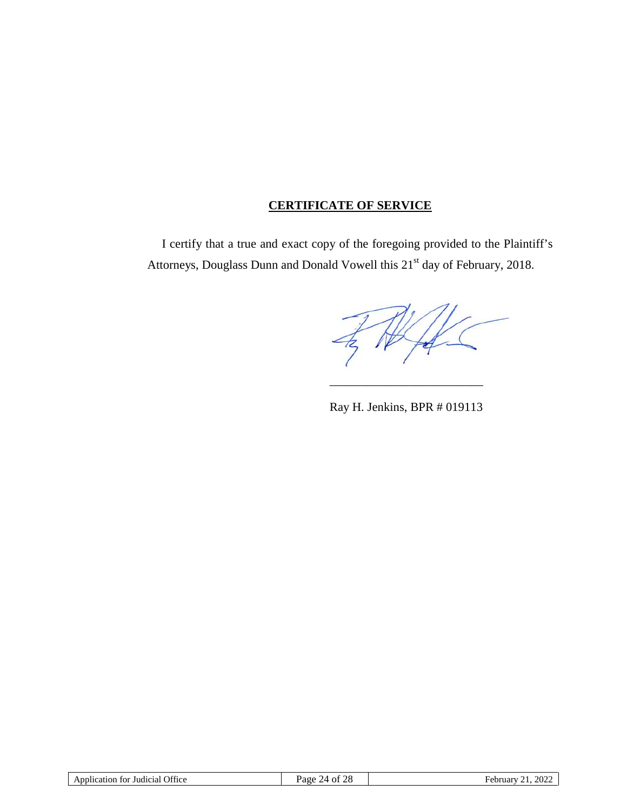## **CERTIFICATE OF SERVICE**

I certify that a true and exact copy of the foregoing provided to the Plaintiff's Attorneys, Douglass Dunn and Donald Vowell this 21<sup>st</sup> day of February, 2018.

Ray H. Jenkins, BPR # 019113

\_\_\_\_\_\_\_\_\_\_\_\_\_\_\_\_\_\_\_\_\_\_\_\_\_

| $\sim$<br>_____<br>. | Office<br>tor<br>plication<br>Judicial<br>ADI | $\cap$<br>$\sim$<br>эσе | 2021<br>ebruar<br>$-0-1$ |
|----------------------|-----------------------------------------------|-------------------------|--------------------------|
|----------------------|-----------------------------------------------|-------------------------|--------------------------|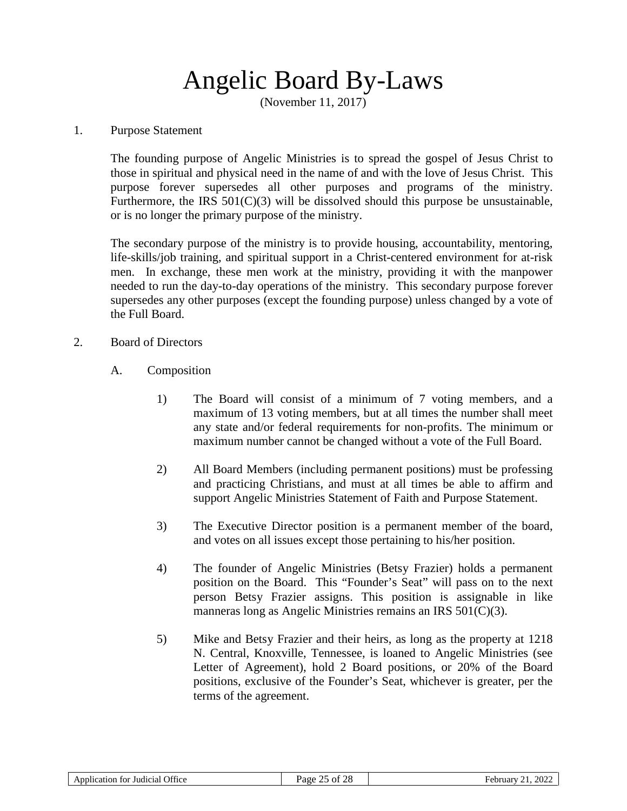# Angelic Board By-Laws

(November 11, 2017)

#### 1. Purpose Statement

The founding purpose of Angelic Ministries is to spread the gospel of Jesus Christ to those in spiritual and physical need in the name of and with the love of Jesus Christ. This purpose forever supersedes all other purposes and programs of the ministry. Furthermore, the IRS  $501(C)(3)$  will be dissolved should this purpose be unsustainable, or is no longer the primary purpose of the ministry.

The secondary purpose of the ministry is to provide housing, accountability, mentoring, life-skills/job training, and spiritual support in a Christ-centered environment for at-risk men. In exchange, these men work at the ministry, providing it with the manpower needed to run the day-to-day operations of the ministry. This secondary purpose forever supersedes any other purposes (except the founding purpose) unless changed by a vote of the Full Board.

- 2. Board of Directors
	- A. Composition
		- 1) The Board will consist of a minimum of 7 voting members, and a maximum of 13 voting members, but at all times the number shall meet any state and/or federal requirements for non-profits. The minimum or maximum number cannot be changed without a vote of the Full Board.
		- 2) All Board Members (including permanent positions) must be professing and practicing Christians, and must at all times be able to affirm and support Angelic Ministries Statement of Faith and Purpose Statement.
		- 3) The Executive Director position is a permanent member of the board, and votes on all issues except those pertaining to his/her position.
		- 4) The founder of Angelic Ministries (Betsy Frazier) holds a permanent position on the Board. This "Founder's Seat" will pass on to the next person Betsy Frazier assigns. This position is assignable in like manneras long as Angelic Ministries remains an IRS 501(C)(3).
		- 5) Mike and Betsy Frazier and their heirs, as long as the property at 1218 N. Central, Knoxville, Tennessee, is loaned to Angelic Ministries (see Letter of Agreement), hold 2 Board positions, or 20% of the Board positions, exclusive of the Founder's Seat, whichever is greater, per the terms of the agreement.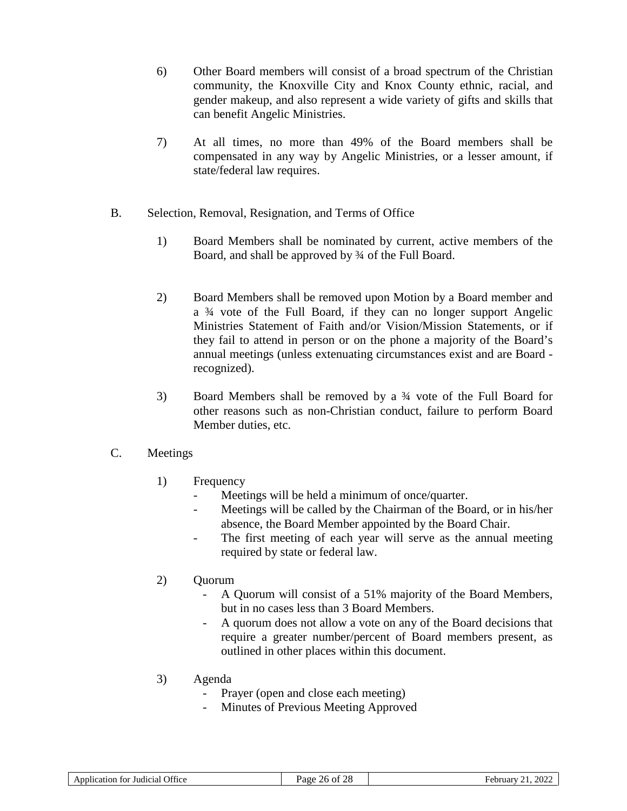- 6) Other Board members will consist of a broad spectrum of the Christian community, the Knoxville City and Knox County ethnic, racial, and gender makeup, and also represent a wide variety of gifts and skills that can benefit Angelic Ministries.
- 7) At all times, no more than 49% of the Board members shall be compensated in any way by Angelic Ministries, or a lesser amount, if state/federal law requires.
- B. Selection, Removal, Resignation, and Terms of Office
	- 1) Board Members shall be nominated by current, active members of the Board, and shall be approved by 3/4 of the Full Board.
	- 2) Board Members shall be removed upon Motion by a Board member and a ¾ vote of the Full Board, if they can no longer support Angelic Ministries Statement of Faith and/or Vision/Mission Statements, or if they fail to attend in person or on the phone a majority of the Board's annual meetings (unless extenuating circumstances exist and are Board recognized).
	- 3) Board Members shall be removed by a ¾ vote of the Full Board for other reasons such as non-Christian conduct, failure to perform Board Member duties, etc.
- C. Meetings
	- 1) Frequency
		- Meetings will be held a minimum of once/quarter.
		- Meetings will be called by the Chairman of the Board, or in his/her absence, the Board Member appointed by the Board Chair.
			- The first meeting of each year will serve as the annual meeting required by state or federal law.
	- 2) Quorum
		- A Quorum will consist of a 51% majority of the Board Members, but in no cases less than 3 Board Members.
		- A quorum does not allow a vote on any of the Board decisions that require a greater number/percent of Board members present, as outlined in other places within this document.
	- 3) Agenda
		- Prayer (open and close each meeting)
		- Minutes of Previous Meeting Approved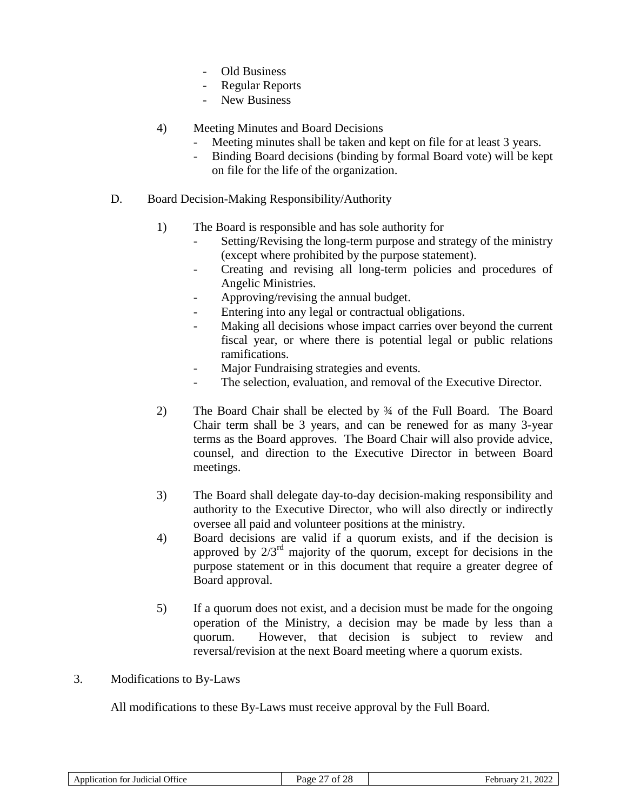- Old Business
- Regular Reports
- New Business
- 4) Meeting Minutes and Board Decisions
	- Meeting minutes shall be taken and kept on file for at least 3 years.
	- Binding Board decisions (binding by formal Board vote) will be kept on file for the life of the organization.
- D. Board Decision-Making Responsibility/Authority
	- 1) The Board is responsible and has sole authority for
		- Setting/Revising the long-term purpose and strategy of the ministry (except where prohibited by the purpose statement).
		- Creating and revising all long-term policies and procedures of Angelic Ministries.
		- Approving/revising the annual budget.
		- Entering into any legal or contractual obligations.
		- Making all decisions whose impact carries over beyond the current fiscal year, or where there is potential legal or public relations ramifications.
		- Major Fundraising strategies and events.
		- The selection, evaluation, and removal of the Executive Director.
	- 2) The Board Chair shall be elected by ¾ of the Full Board. The Board Chair term shall be 3 years, and can be renewed for as many 3-year terms as the Board approves. The Board Chair will also provide advice, counsel, and direction to the Executive Director in between Board meetings.
	- 3) The Board shall delegate day-to-day decision-making responsibility and authority to the Executive Director, who will also directly or indirectly oversee all paid and volunteer positions at the ministry.
	- 4) Board decisions are valid if a quorum exists, and if the decision is approved by  $2/3^{rd}$  majority of the quorum, except for decisions in the purpose statement or in this document that require a greater degree of Board approval.
	- 5) If a quorum does not exist, and a decision must be made for the ongoing operation of the Ministry, a decision may be made by less than a quorum. However, that decision is subject to review and reversal/revision at the next Board meeting where a quorum exists.

#### 3. Modifications to By-Laws

All modifications to these By-Laws must receive approval by the Full Board.